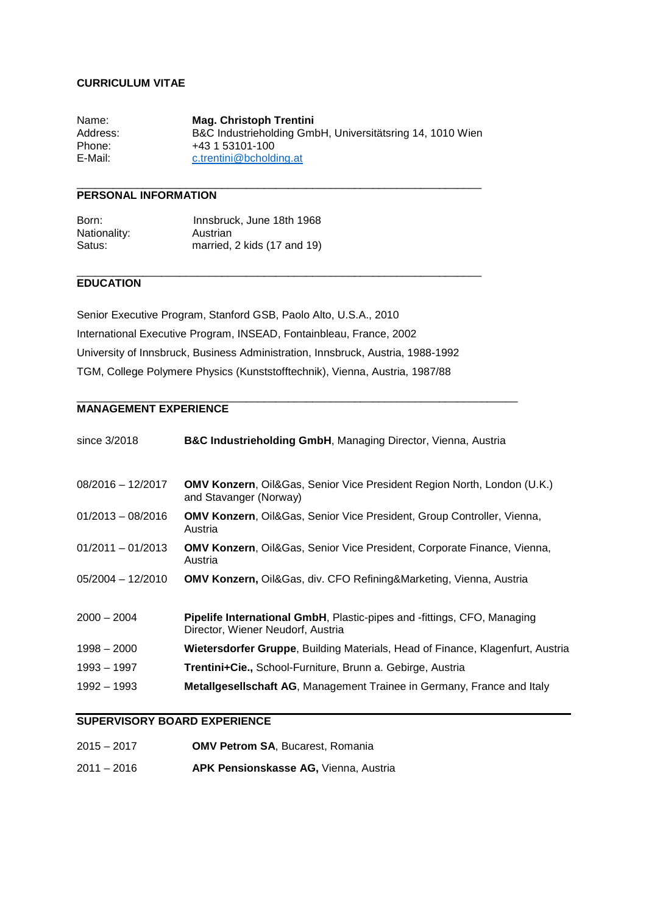#### **CURRICULUM VITAE**

Name: **Mag. Christoph Trentini** Address: B&C Industrieholding GmbH, Universitätsring 14, 1010 Wien Phone: +43 1 53101-100 E-Mail: c.trentini@bcholding.at

 $\_$  ,  $\_$  ,  $\_$  ,  $\_$  ,  $\_$  ,  $\_$  ,  $\_$  ,  $\_$  ,  $\_$  ,  $\_$  ,  $\_$  ,  $\_$  ,  $\_$  ,  $\_$  ,  $\_$  ,  $\_$  ,  $\_$  ,  $\_$  ,  $\_$  ,  $\_$  ,  $\_$  ,  $\_$  ,  $\_$  ,  $\_$  ,  $\_$  ,  $\_$  ,  $\_$  ,  $\_$  ,  $\_$  ,  $\_$  ,  $\_$  ,  $\_$  ,  $\_$  ,  $\_$  ,  $\_$  ,  $\_$  ,  $\_$  ,

\_\_\_\_\_\_\_\_\_\_\_\_\_\_\_\_\_\_\_\_\_\_\_\_\_\_\_\_\_\_\_\_\_\_\_\_\_\_\_\_\_\_\_\_\_\_\_\_\_\_\_\_\_\_\_\_\_\_\_\_\_\_\_\_\_\_\_

# **PERSONAL INFORMATION**

| Born:        | Innsbruck, June 18th 1968   |
|--------------|-----------------------------|
| Nationality: | Austrian                    |
| Satus:       | married, 2 kids (17 and 19) |

### **EDUCATION**

Senior Executive Program, Stanford GSB, Paolo Alto, U.S.A., 2010 International Executive Program, INSEAD, Fontainbleau, France, 2002 University of Innsbruck, Business Administration, Innsbruck, Austria, 1988-1992 TGM, College Polymere Physics (Kunststofftechnik), Vienna, Austria, 1987/88

\_\_\_\_\_\_\_\_\_\_\_\_\_\_\_\_\_\_\_\_\_\_\_\_\_\_\_\_\_\_\_\_\_\_\_\_\_\_\_\_\_\_\_\_\_\_\_\_\_\_\_\_\_\_\_\_\_\_\_\_\_\_\_\_\_\_\_\_\_\_\_\_\_

### **MANAGEMENT EXPERIENCE**

| since 3/2018        | <b>B&amp;C Industrieholding GmbH, Managing Director, Vienna, Austria</b>                                            |
|---------------------|---------------------------------------------------------------------------------------------------------------------|
| $08/2016 - 12/2017$ | <b>OMV Konzern, Oil&amp;Gas, Senior Vice President Region North, London (U.K.)</b><br>and Stavanger (Norway)        |
| $01/2013 - 08/2016$ | <b>OMV Konzern, Oil&amp;Gas, Senior Vice President, Group Controller, Vienna,</b><br>Austria                        |
| $01/2011 - 01/2013$ | OMV Konzern, Oil&Gas, Senior Vice President, Corporate Finance, Vienna,<br>Austria                                  |
| $05/2004 - 12/2010$ | <b>OMV Konzern, Oil&amp;Gas, div. CFO Refining&amp;Marketing, Vienna, Austria</b>                                   |
| $2000 - 2004$       | <b>Pipelife International GmbH, Plastic-pipes and -fittings, CFO, Managing</b><br>Director, Wiener Neudorf, Austria |
| $1998 - 2000$       | Wietersdorfer Gruppe, Building Materials, Head of Finance, Klagenfurt, Austria                                      |
| 1993 – 1997         | <b>Trentini+Cie., School-Furniture, Brunn a. Gebirge, Austria</b>                                                   |
| 1992 - 1993         | <b>Metallgesellschaft AG, Management Trainee in Germany, France and Italy</b>                                       |

## **SUPERVISORY BOARD EXPERIENCE**

| $2015 - 2017$ | <b>OMV Petrom SA, Bucarest, Romania</b> |
|---------------|-----------------------------------------|
|               |                                         |

2011 – 2016 **APK Pensionskasse AG,** Vienna, Austria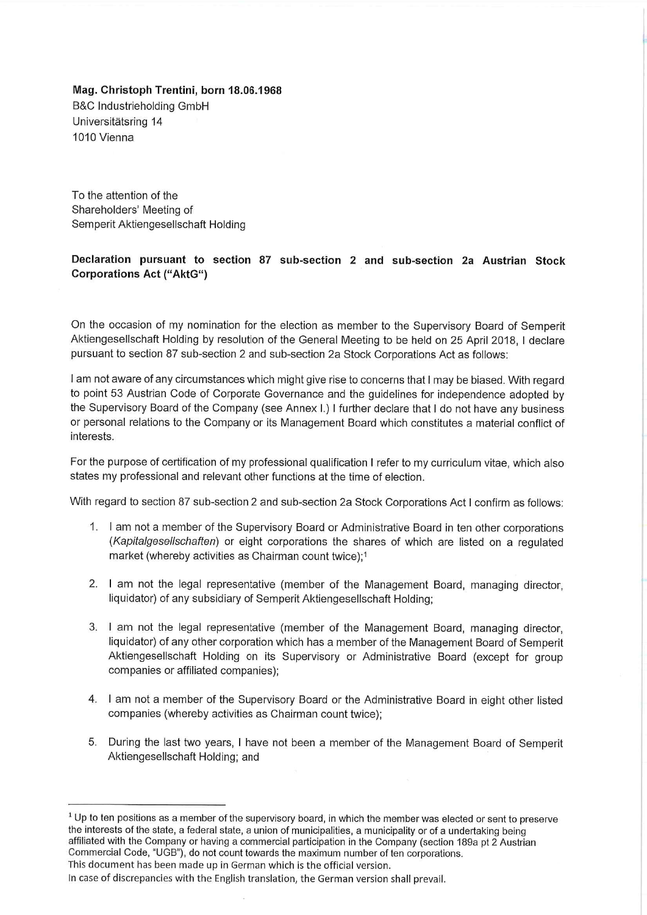Mag. Christoph Trentini, born 18.06.1968 **B&C Industrieholding GmbH** Universitätsring 14 1010 Vienna

To the attention of the Shareholders' Meeting of Semperit Aktiengesellschaft Holding

# Declaration pursuant to section 87 sub-section 2 and sub-section 2a Austrian Stock **Corporations Act ("AktG")**

On the occasion of my nomination for the election as member to the Supervisory Board of Semperit Aktiengesellschaft Holding by resolution of the General Meeting to be held on 25 April 2018, I declare pursuant to section 87 sub-section 2 and sub-section 2a Stock Corporations Act as follows:

I am not aware of any circumstances which might give rise to concerns that I may be biased. With regard to point 53 Austrian Code of Corporate Governance and the guidelines for independence adopted by the Supervisory Board of the Company (see Annex I.) I further declare that I do not have any business or personal relations to the Company or its Management Board which constitutes a material conflict of interests.

For the purpose of certification of my professional qualification I refer to my curriculum vitae, which also states my professional and relevant other functions at the time of election.

With regard to section 87 sub-section 2 and sub-section 2a Stock Corporations Act I confirm as follows:

- 1. I am not a member of the Supervisory Board or Administrative Board in ten other corporations (Kapitalgesellschaften) or eight corporations the shares of which are listed on a regulated market (whereby activities as Chairman count twice);<sup>1</sup>
- 2. I am not the legal representative (member of the Management Board, managing director, liquidator) of any subsidiary of Semperit Aktiengesellschaft Holding;
- 3. I am not the legal representative (member of the Management Board, managing director, liquidator) of any other corporation which has a member of the Management Board of Semperit Aktiengesellschaft Holding on its Supervisory or Administrative Board (except for group companies or affiliated companies);
- 4. I am not a member of the Supervisory Board or the Administrative Board in eight other listed companies (whereby activities as Chairman count twice);
- 5. During the last two years, I have not been a member of the Management Board of Semperit Aktiengesellschaft Holding; and

 $1$  Up to ten positions as a member of the supervisory board, in which the member was elected or sent to preserve the interests of the state, a federal state, a union of municipalities, a municipality or of a undertaking being affiliated with the Company or having a commercial participation in the Company (section 189a pt 2 Austrian Commercial Code, "UGB"), do not count towards the maximum number of ten corporations. This document has been made up in German which is the official version.

In case of discrepancies with the English translation, the German version shall prevail.